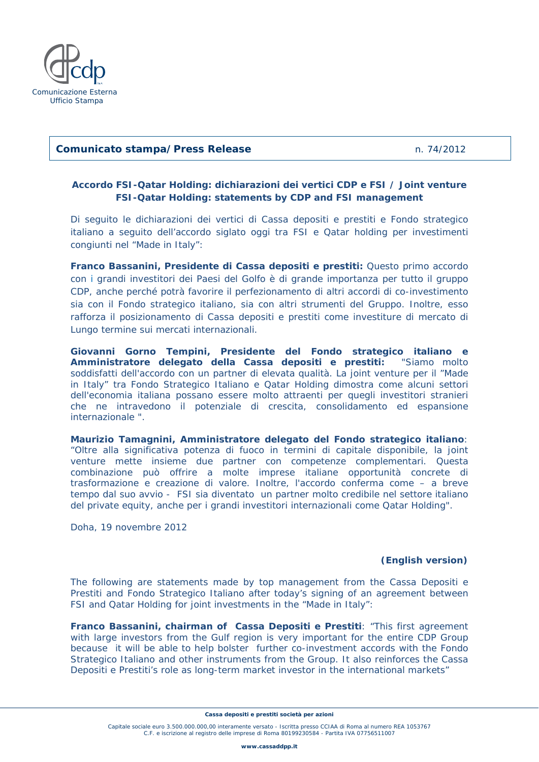

#### **Comunicato stampa/Press Release** n. 74/2012

## **Accordo FSI-Qatar Holding: dichiarazioni dei vertici CDP e FSI / Joint venture FSI-Qatar Holding: statements by CDP and FSI management**

Di seguito le dichiarazioni dei vertici di Cassa depositi e prestiti e Fondo strategico italiano a seguito dell'accordo siglato oggi tra FSI e Qatar holding per investimenti congiunti nel "Made in Italy":

*Franco Bassanini, Presidente di Cassa depositi e prestiti: Questo primo accordo con i grandi investitori dei Paesi del Golfo è di grande importanza per tutto il gruppo CDP, anche perché potrà favorire il perfezionamento di altri accordi di co-investimento sia con il Fondo strategico italiano, sia con altri strumenti del Gruppo. Inoltre, esso rafforza il posizionamento di Cassa depositi e prestiti come investiture di mercato di Lungo termine sui mercati internazionali.* 

*Giovanni Gorno Tempini, Presidente del Fondo strategico italiano e Amministratore delegato della Cassa depositi e prestiti: "Siamo molto soddisfatti dell'accordo con un partner di elevata qualità. La joint venture per il "Made in Italy" tra Fondo Strategico Italiano e Qatar Holding dimostra come alcuni settori dell'economia italiana possano essere molto attraenti per quegli investitori stranieri che ne intravedono il potenziale di crescita, consolidamento ed espansione internazionale ".* 

*Maurizio Tamagnini, Amministratore delegato del Fondo strategico italiano: "Oltre alla significativa potenza di fuoco in termini di capitale disponibile, la joint venture mette insieme due partner con competenze complementari. Questa combinazione può offrire a molte imprese italiane opportunità concrete di trasformazione e creazione di valore. Inoltre, l'accordo conferma come – a breve tempo dal suo avvio - FSI sia diventato un partner molto credibile nel settore italiano del private equity, anche per i grandi investitori internazionali come Qatar Holding".* 

Doha, 19 novembre 2012

#### *(English version)*

The following are statements made by top management from the Cassa Depositi e Prestiti and Fondo Strategico Italiano after today's signing of an agreement between FSI and Qatar Holding for joint investments in the "Made in Italy":

*Franco Bassanini, chairman of Cassa Depositi e Prestiti: "This first agreement*  with large investors from the Gulf region is very important for the entire CDP Group *because it will be able to help bolster further co-investment accords with the Fondo Strategico Italiano and other instruments from the Group. It also reinforces the Cassa Depositi e Prestiti's role as long-term market investor in the international markets"* 

**Cassa depositi e prestiti società per azioni** 

Capitale sociale euro 3.500.000.000,00 interamente versato - Iscritta presso CCIAA di Roma al numero REA 1053767 C.F. e iscrizione al registro delle imprese di Roma 80199230584 - Partita IVA 07756511007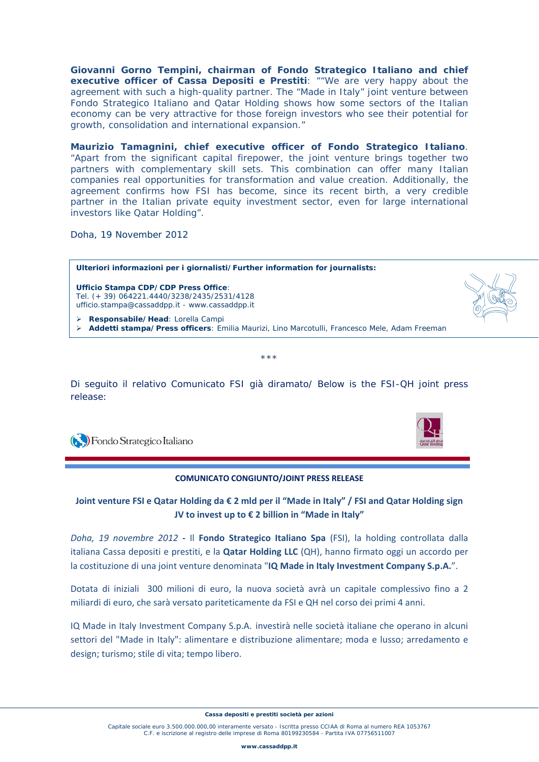*Giovanni Gorno Tempini, chairman of Fondo Strategico Italiano and chief executive officer of Cassa Depositi e Prestiti: ""We are very happy about the agreement with such a high-quality partner. The "Made in Italy" joint venture between Fondo Strategico Italiano and Qatar Holding shows how some sectors of the Italian economy can be very attractive for those foreign investors who see their potential for growth, consolidation and international expansion."* 

*Maurizio Tamagnini, chief executive officer of Fondo Strategico Italiano. "Apart from the significant capital firepower, the joint venture brings together two partners with complementary skill sets. This combination can offer many Italian companies real opportunities for transformation and value creation. Additionally, the agreement confirms how FSI has become, since its recent birth, a very credible*  partner in the Italian private equity investment sector, even for large international *investors like Qatar Holding".* 

Doha, 19 November 2012



Di seguito il relativo Comunicato FSI già diramato/ Below is the FSI-QH joint press release:

\*\*\*

## **COMUNICATO CONGIUNTO/JOINT PRESS RELEASE**

# Joint venture FSI e Qatar Holding da € 2 mld per il "Made in Italy" / FSI and Qatar Holding sign **JV to invest up to € 2 billion in "Made in Italy"**

*Doha, 19 novembre 2012* **‐**  Il **Fondo Strategico Italiano Spa** (FSI), la holding controllata dalla italiana Cassa depositi e prestiti, e la **Qatar Holding LLC** (QH), hanno firmato oggi un accordo per la costituzione di una joint venture denominata "**IQ Made in Italy Investment Company S.p.A.**".

Dotata di iniziali 300 milioni di euro, la nuova società avrà un capitale complessivo fino a 2 miliardi di euro, che sarà versato pariteticamente da FSI e QH nel corso dei primi 4 anni.

IQ Made in Italy Investment Company S.p.A. investirà nelle società italiane che operano in alcuni settori del "Made in Italy": alimentare e distribuzione alimentare; moda e lusso; arredamento e design; turismo; stile di vita; tempo libero.

**Cassa depositi e prestiti società per azioni** 

Capitale sociale euro 3.500.000.000,00 interamente versato - Iscritta presso CCIAA di Roma al numero REA 1053767 C.F. e iscrizione al registro delle imprese di Roma 80199230584 - Partita IVA 07756511007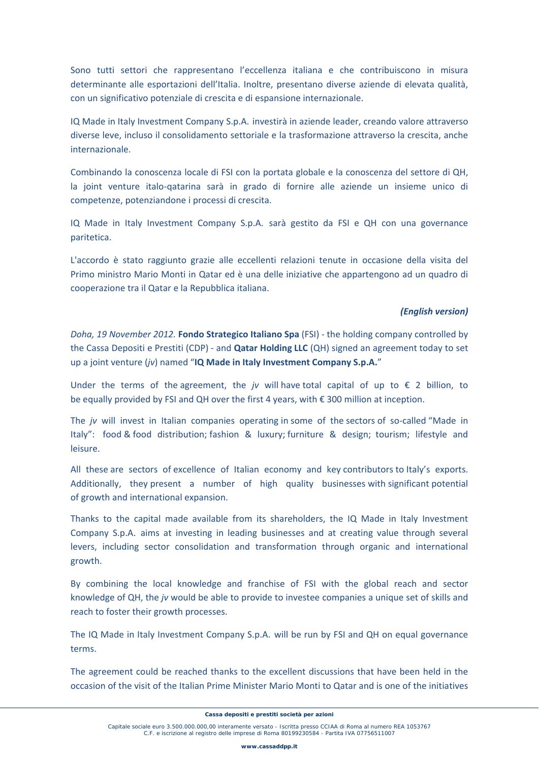Sono tutti settori che rappresentano l'eccellenza italiana e che contribuiscono in misura determinante alle esportazioni dell'Italia. Inoltre, presentano diverse aziende di elevata qualità, con un significativo potenziale di crescita e di espansione internazionale.

IQ Made in Italy Investment Company S.p.A. investirà in aziende leader, creando valore attraverso diverse leve, incluso il consolidamento settoriale e la trasformazione attraverso la crescita, anche internazionale.

Combinando la conoscenza locale di FSI con la portata globale e la conoscenza del settore di QH, la joint venture italo‐qatarina sarà in grado di fornire alle aziende un insieme unico di competenze, potenziandone i processi di crescita.

IQ Made in Italy Investment Company S.p.A. sarà gestito da FSI e QH con una governance paritetica.

L'accordo è stato raggiunto grazie alle eccellenti relazioni tenute in occasione della visita del Primo ministro Mario Monti in Qatar ed è una delle iniziative che appartengono ad un quadro di cooperazione tra il Qatar e la Repubblica italiana.

## *(English version)*

*Doha, 19 November 2012.* **Fondo Strategico Italiano Spa** (FSI) ‐ the holding company controlled by the Cassa Depositi e Prestiti (CDP) ‐ and **Qatar Holding LLC** (QH) signed an agreement today to set up a joint venture (*jv*) named "**IQ Made in Italy Investment Company S.p.A.**"

Under the terms of the agreement, the *jv* will have total capital of up to  $€$  2 billion, to be equally provided by FSI and QH over the first 4 years, with € 300 million at inception.

The *jv* will invest in Italian companies operating in some of the sectors of so-called "Made in Italy": food & food distribution; fashion & luxury; furniture & design; tourism; lifestyle and leisure.

All these are sectors of excellence of Italian economy and key contributors to Italy's exports. Additionally, they present a number of high quality businesses with significant potential of growth and international expansion.

Thanks to the capital made available from its shareholders, the IQ Made in Italy Investment Company S.p.A. aims at investing in leading businesses and at creating value through several levers, including sector consolidation and transformation through organic and international growth.

By combining the local knowledge and franchise of FSI with the global reach and sector knowledge of QH, the *jv* would be able to provide to investee companies a unique set of skills and reach to foster their growth processes.

The IQ Made in Italy Investment Company S.p.A. will be run by FSI and QH on equal governance terms.

The agreement could be reached thanks to the excellent discussions that have been held in the occasion of the visit of the Italian Prime Minister Mario Monti to Qatar and is one of the initiatives

Capitale sociale euro 3.500.000.000,00 interamente versato - Iscritta presso CCIAA di Roma al numero REA 1053767 C.F. e iscrizione al registro delle imprese di Roma 80199230584 - Partita IVA 07756511007